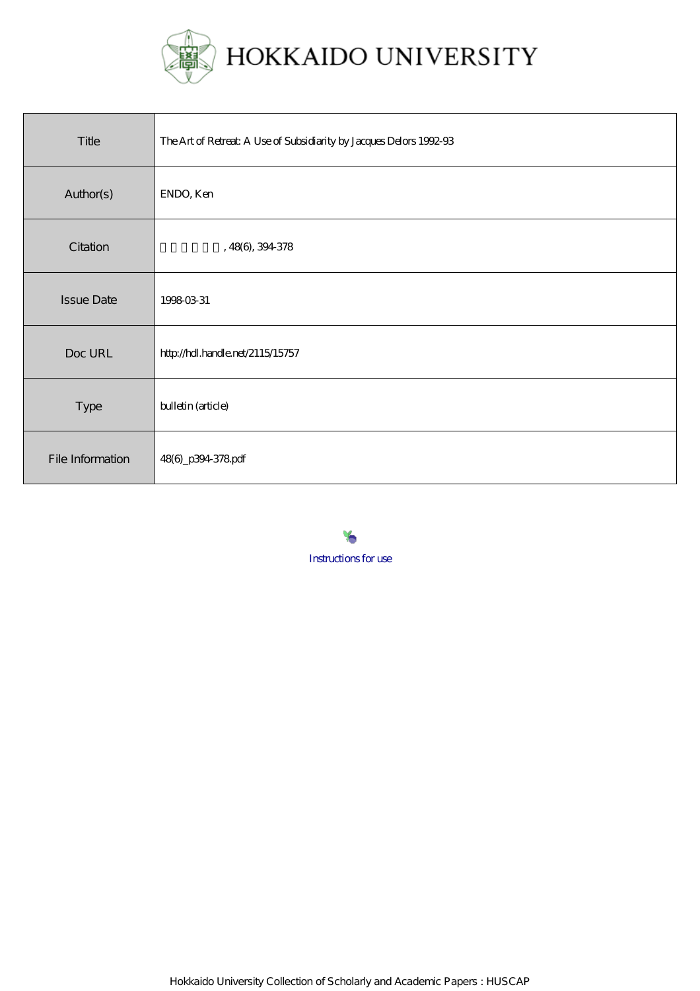

| Title             | The Art of Retreat: A Use of Subsidiarity by Jacques Delors 1992-93 |
|-------------------|---------------------------------------------------------------------|
| Author(s)         | ENDO, Ken                                                           |
| Citation          | ,48(6),394378                                                       |
| <b>Issue Date</b> | 1998-03-31                                                          |
| Doc URL           | http://hdl.handle.net/2115/15757                                    |
| Type              | bulletin (article)                                                  |
| File Information  | 48(6)_p394378pdf                                                    |

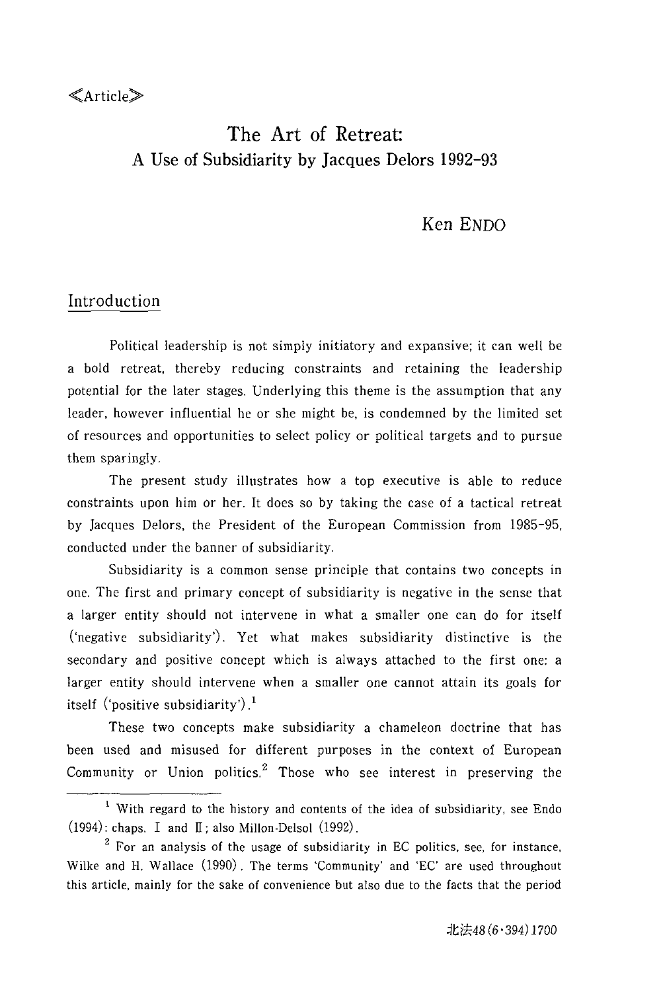### $\ll$ Article $\gg$

# The Art of Retreat: A Use of Subsidiarity by Jacques Delors 1992-93

## Ken ENDO

### Introduction

Political leadership is not simply initiatory and expansive; it can well be a bold retreat, thereby reducing constraints and retaining the leadership potential for the later stages. Underlying this theme is the assumption that any leader, however influential he or she might be, is condemned by the limited set of resources and opportunities to select policy or political targets and to pursue them sparingly.

The present study illustrates how a top executive is able to reduce constraints upon him or her. It does so by taking the case of a tactical retreat by Jacques Delors, the President of the European Commission from 1985-95, conducted under the banner of subsidiarity.

Subsidiarity is a common sense principle that contains two concepts in one. The first and primary concept of subsidiarity is negative in the sense that a larger entity should not intervene in what a smaller one can do for itself ('negative subsidiarity'). Yet what makes subsidiarity distinctive is the secondary and positive concept which is always attached to the first one: a larger entity should intervene when a smaller one cannot attain its goals for itself ('positive subsidiarity').<sup>1</sup>

These two concepts make subsidiarity a chameleon doctrine that has been used and misused for different purposes in the context of European Community or Union politics. $2$  Those who see interest in preserving the

 $<sup>1</sup>$  With regard to the history and contents of the idea of subsidiarity, see Endo</sup> (1994): chaps. I and II; also Millon-Delsol (1992).

 $2$  For an analysis of the usage of subsidiarity in EC politics, see, for instance, Wilke and H. Wallace (1990). The terms 'Community' and 'EC' are used throughout this article, mainly for the sake of convenience but also due to the facts that the period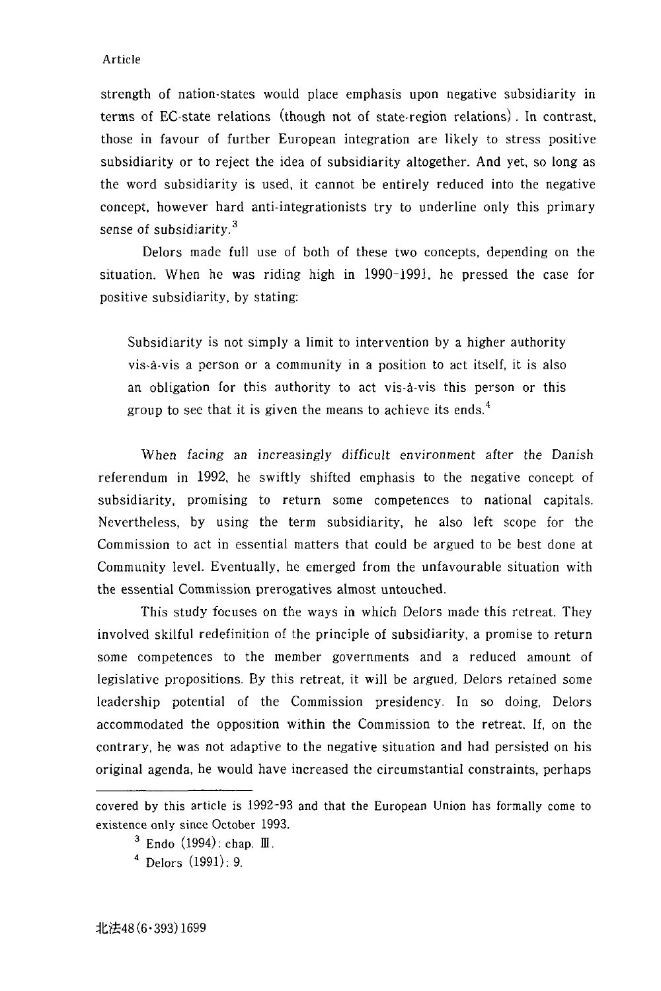strength of nation-states would place emphasis upon negative subsidiarity in terms of EC-state relations (though not of state-region relations) . In contrast, those in favour of further European integration are likely to stress positive subsidiarity or to reject the idea of subsidiarity altogether. And yet, so long as the word subsidiarity is used, it cannot be entirely reduced into the negative concept, however hard anti-integrationists try to underline only this primary sense of subsidiarity.<sup>3</sup>

Delors made full use of both of these two concepts, depending on the situation. When he was riding high in 1990-1991, he pressed the case for positive subsidiarity, by stating:

Subsidiarity is not simply a limit to intervention by a higher authority vis-à-vis a person or a community in a position to act itself, it is also an obligation for this authority to act vis-à-vis this person or this group to see that it is given the means to achieve its ends.<sup>4</sup>

When facing an increasingly difficult environment after the Danish referendum in 1992, he swiftly shifted emphasis to the negative concept of subsidiarity, promising to return some competences to national capitals. Nevertheless, by using the term subsidiarity, he also left scope for the Commission to act in essential matters that could be argued to be best done at Community level. Eventually, he emerged from the unfavourable situation with the essential Commission prerogatives almost untouched.

This study focuses on the ways in which Delors made this retreat. They involved skilful redefinition of the principle of subsidiarity, a promise to return some competences to the member governments and a reduced amount of legislative propositions. By this retreat, it will be argued, Delors retained some leadership potential of the Commission presidency. In so doing, Delors accommodated the opposition within the Commission to the retreat. If, on the contrary, he was not adaptive to the negative situation and had persisted on his original agenda, he would have increased the circumstantial constraints, perhaps

covered by this article is 1992-93 and that the European Union has formally come to existence only since October 1993.

 $3$  Endo (1994): chap. III.

 $4$  Delors  $(1991): 9$ .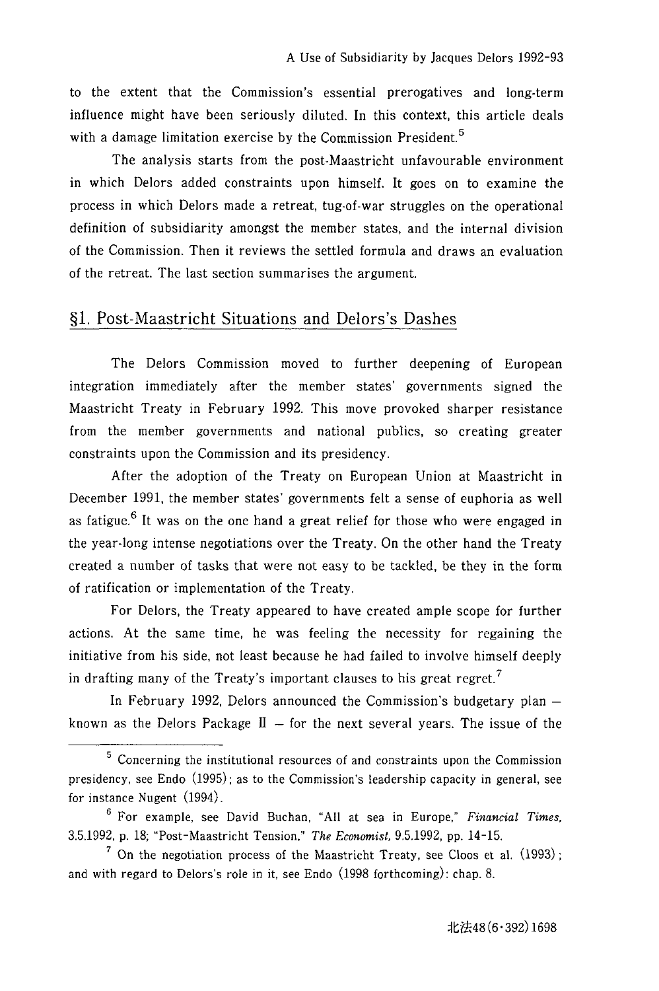to the extent that the Commission's essential prerogatives and long-term influence might have been seriously diluted. In this context, this article deals with a damage limitation exercise by the Commission President.<sup>5</sup>

The analysis starts from the post-Maastricht unfavourable environment in which Delors added constraints upon himself. It goes on to examine the process in which Delors made a retreat, tug-of-war struggles on the operational definition of subsidiarity amongst the member states, and the internal division of the Commission. Then it reviews the settled formula and draws an evaluation of the retreat. The last section summarises the argument.

### §l. Post-Maastricht Situations and Delors's Dashes

The Delors Commission moved to further deepening of European integration immediately after the member states' governments signed the Maastricht Treaty in February 1992. This move provoked sharper resistance from the member governments and national publics, so creating greater constraints upon the Commission and its presidency.

After the adoption of the Treaty on European Union at Maastricht in December 1991, the member states' governments felt a sense of euphoria as well as fatigue.<sup>6</sup> It was on the one hand a great relief for those who were engaged in the year-long intense negotiations over the Treaty. On the other hand the Treaty created a number of tasks that were not easy to be tackled, be they in the form of ratification or implementation of the Treaty.

For Delors, the Treaty appeared to have created ample scope for further actions. At the same time, he was feeling the necessity for regaining the initiative from his side, not least because he had failed to involve himself deeply in drafting many of the Treaty's important clauses to his great regret.<sup>7</sup>

In February 1992, Delors announced the Commission's budgetary plan  $$ known as the Delors Package  $II -$  for the next several years. The issue of the

<sup>5</sup> Concerning the institutional resources of and constraints upon the Commission presidency, see Endo (1995); as to the Commission's leadership capacity in general, see for instance Nugent (1994).

<sup>6</sup> For example, see David Buchan, "All at sea in Europe," *Financial Times,*  3.5.1992, p. 18; "Post-Maastricht Tension," *The Economist,* 9.5.1992, pp. 14-15.

<sup>&</sup>lt;sup>7</sup> On the negotiation process of the Maastricht Treaty, see Cloos et al.  $(1993)$ ; and with regard to Delors's role in it, see Endo (1998 forthcoming): chap. 8.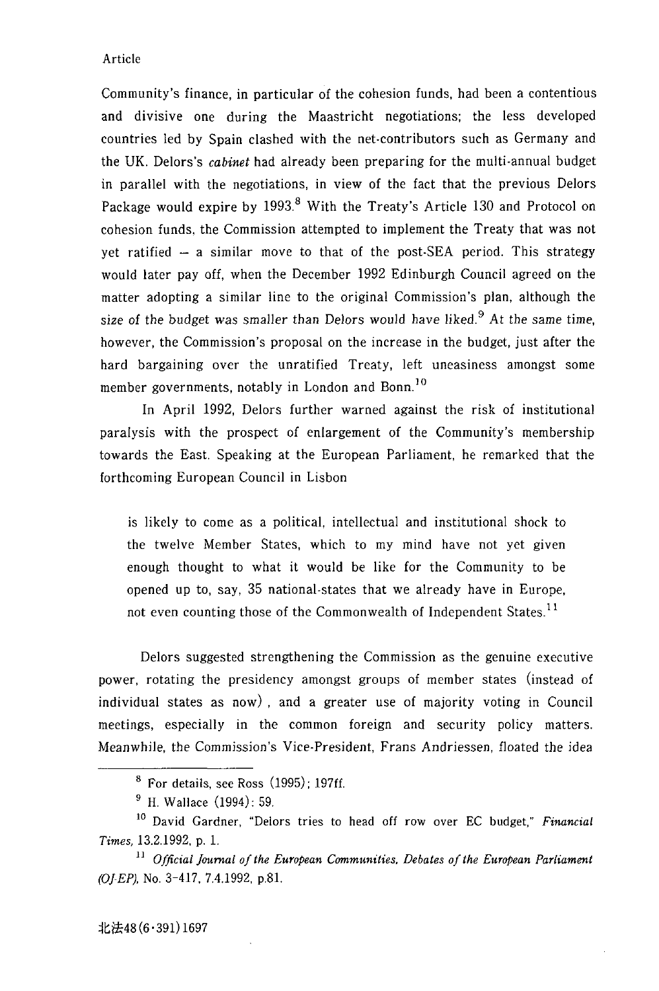Community's finance, in particular of the cohesion funds, had been a contentious and divisive one during the Maastricht negotiations; the less developed countries led by Spain clashed with the net-contributors such as Germany and the UK. Delors's *cabinet* had already been preparing for the multi-annual budget in parallel with the negotiations, in view of the fact that the previous Delors Package would expire by 1993.<sup>8</sup> With the Treaty's Article 130 and Protocol on cohesion funds. the Commission attempted to implement the Treaty that was not yet ratified  $-$  a similar move to that of the post-SEA period. This strategy would later payoff, when the December 1992 Edinburgh Council agreed on the matter adopting a similar line to the original Commission's plan, although the size of the budget was smaller than Delors would have liked.<sup>9</sup> At the same time, however, the Commission's proposal on the increase in the budget, just after the hard bargaining over the unratified Treaty, left uneasiness amongst some member governments, notably in London and Bonn.<sup>10</sup>

In April 1992, Delors further warned against the risk of institutional paralysis with the prospect of enlargement of the Community's membership towards the East. Speaking at the European Parliament, he remarked that the forthcoming European Council in Lisbon

is likely to come as a political, intellectual and institutional shock to the twelve Member States, which to my mind have not yet given enough thought to what it would be like for the Community to be opened up to, say, 35 national-states that we already have in Europe, not even counting those of the Commonwealth of Independent States.<sup>11</sup>

Delors suggested strengthening the Commission as the genuine executive power, rotating the presidency amongst groups of member states (instead of individual states as now) , and a greater use of majority voting in Council meetings, especially in the common foreign and security policy matters. Meanwhile, the Commission's Vice-President, Frans Andriessen, floated the idea

 $8$  For details, see Ross  $(1995)$ ; 197ff.

<sup>9</sup> H. Wallace (1994): 59.

<sup>10</sup> David Gardner, "Delors tries to head off row over EC budget," *Financial Times,* 13.2.1992, p. l.

<sup>&</sup>lt;sup>11</sup> Official Journal of the European Communities, Debates of the European Parliament *(OJ-EP),* No. 3-417, 7.4.1992, p.8l.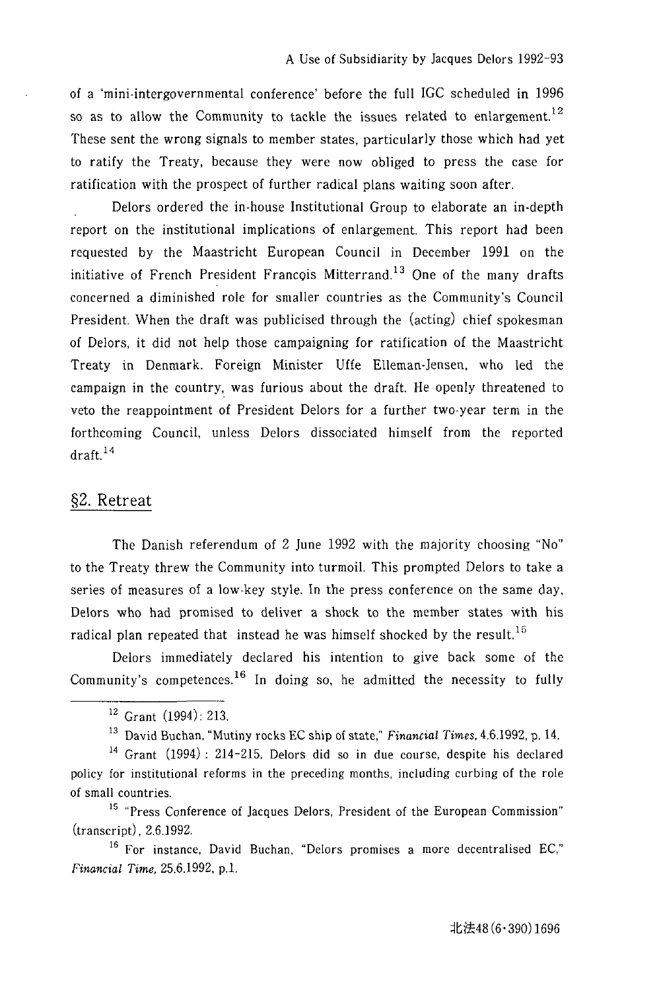of a 'mini-intergovernmental conference' before the full IGC scheduled in 1996 so as to allow the Community to tackle the issues related to enlargement.<sup>12</sup> These sent the wrong signals to member states, particularly those which had yet to ratify the Treaty, because they were now obliged to press the case for ratification with the prospect of further radical plans waiting soon after.

Delors ordered the in-house Institutional Group to elaborate an in-depth report on the institutional implications of enlargement. This report had been requested by the Maastricht European Council in December 1991 on the initiative of French President Francois Mitterrand.<sup>13</sup> One of the many drafts concerned a diminished role for smaller countries as the Community's Council President. When the draft was publicised through the (acting) chief spokesman of Delors, it did not help those campaigning for ratification of the Maastricht Treaty in Denmark. Foreign Minister Uffe Elleman-}ensen, who led the campaign in the country, was furious about the draft. He openly threatened to veto the reappointment of President Delors for a further two-year term in the forthcoming Council, unless Delors dissociated himself from the reported  $dr$ aft. $14$ 

### §2. Retreat

The Danish referendum of 2 June 1992 with the majority choosing "No" to the Treaty threw the Community into turmoil. This prompted Delors to take a series of measures of a low-key style. In the press conference on the same day, Delors who had promised to deliver a shock to the member states with his radical plan repeated that instead he was himself shocked by the result.<sup>15</sup>

Delors immediately declared his intention to give back some of the Community's competences.<sup>16</sup> In doing so, he admitted the necessity to fully

15 "Press Conference of Jacques Delors, President of the European Commission" (transcript), 2.6.1992.

<sup>16</sup> For instance, David Buchan, "Delors promises a more decentralised EC," *Financial Time.* 25.6.1992, p.1.

<sup>12</sup> Grant (1994): 213.

<sup>13</sup> David Buchan, "Mutiny rocks EC ship of state," *Financial Times,* 4.6.l992, p. 14.

<sup>14</sup> Grant (1994): 214-215. Delors did so in due course, despite his declared policy for institutional reforms in the preceding months, including curbing of the role of small countries.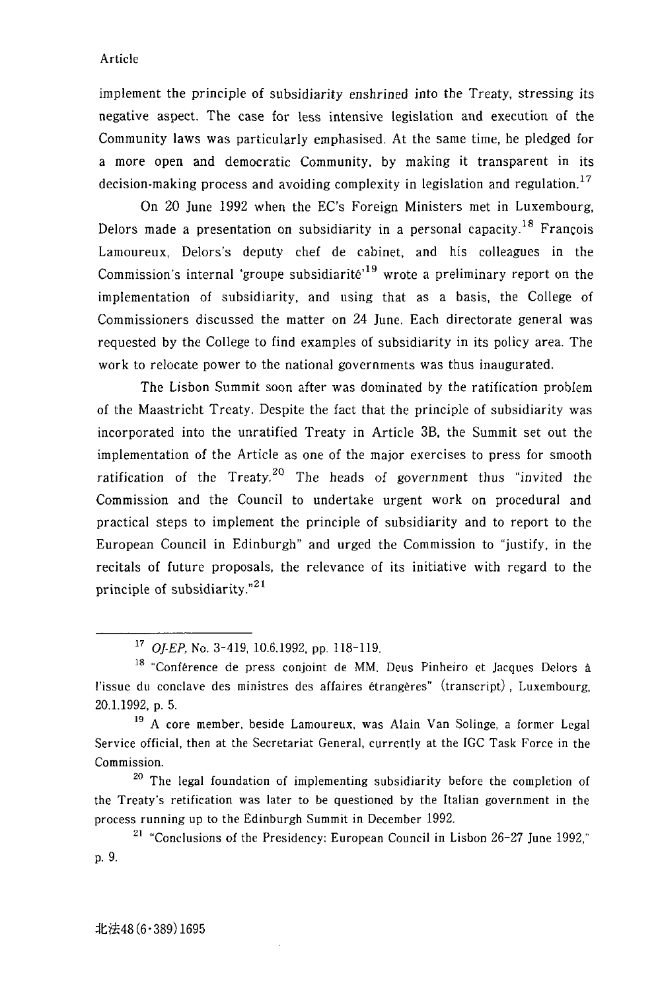implement the principle of subsidiarity enshrined into the Treaty, stressing its negative aspect. The case for less intensive legislation and execution of the Community laws was particularly emphasised. At the same time, he pledged for a more open and democratic Community, by making it transparent in its decision-making process and avoiding complexity in legislation and regulation.<sup>17</sup>

On 20 June 1992 when the EC's Foreign Ministers met in Luxembourg, Delors made a presentation on subsidiarity in a personal capacity.<sup>18</sup> François Lamoureux, Delors's deputy chef de cabinet, and his colleagues in the Commission's internal 'groupe subsidiarité'<sup>19</sup> wrote a preliminary report on the implementation of subsidiarity, and using that as a basis, the College of Commissioners discussed the matter on 24 June. Each directorate general was requested by the College to find examples of subsidiarity in its policy area. The work to relocate power to the national governments was thus inaugurated.

The Lisbon Summit soon after was dominated by the ratification problem of the Maastricht Treaty. Despite the fact that the principle of subsidiarity was incorporated into the unratified Treaty in Article 38, the Summit set out the implementation of the Article as one of the major exercises to press for smooth ratification of the Treaty.<sup>20</sup> The heads of government thus "invited the Commission and the Council to undertake urgent work on procedural and practical steps to implement the principle of subsidiarity and to report to the European Council in Edinburgh" and urged the Commission to "justify, in the recitals of future proposals, the relevance of its initiative with regard to the principle of subsidiarity. $^{21}$ 

<sup>20</sup> The legal foundation of implementing subsidiarity before the completion of the Treaty's retification was later to be questioned by the Italian government in the process running up to the Edinburgh Summit in December 1992.

 $21$  "Conclusions of the Presidency: European Council in Lisbon 26-27 June 1992," p.9.

*<sup>17</sup> OlE?,* No. 3-419, 10.6.1992, pp. 118-119.

<sup>&</sup>lt;sup>18</sup> "Conférence de press conjoint de MM, Deus Pinheiro et Jacques Delors à l'issue du conclave des ministres des affaires etrangeres" (transcript), Luxembourg, 20.1.1992, p. 5.

<sup>19</sup> A core member, beside Lamoureux, was Alain Van Solinge, a former Legal Service official, then at the Secretariat General, currently at the IGC Task Force in the Commission.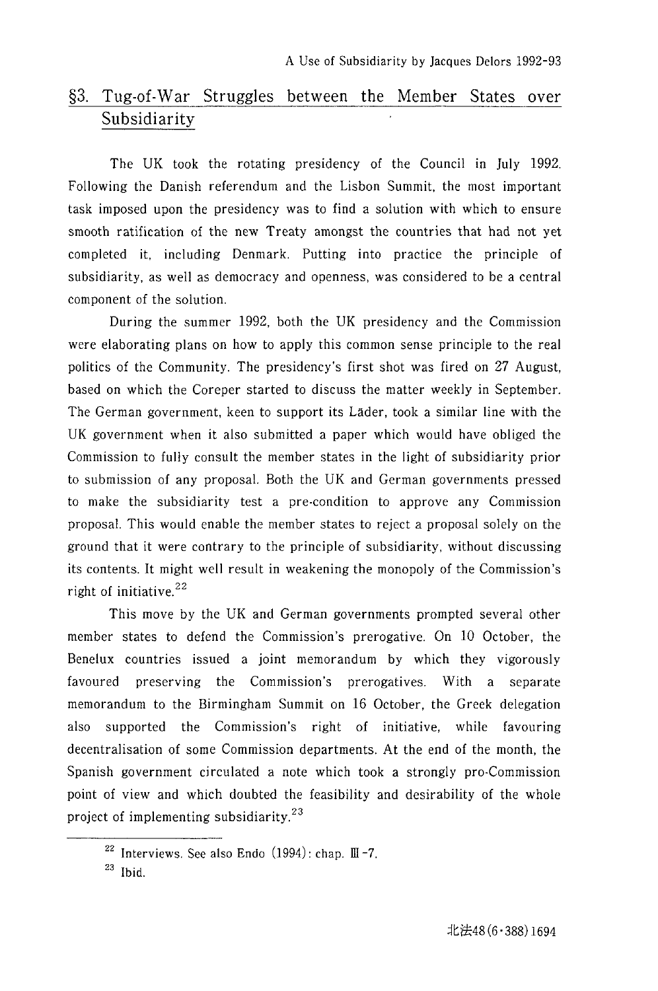## §3. Tug-ot-War Struggles between the Member States over Subsidiarity

The UK took the rotating presidency of the Council in July 1992. Following the Danish referendum and the Lisbon Summit, the most important task imposed upon the presidency was to find a solution with which to ensure smooth ratification of the new Treaty amongst the countries that had not yet completed it, including Denmark. Putting into practice the principle of subsidiarity, as well as democracy and openness, was considered to be a central component of the solution.

During the summer 1992, both the UK presidency and the Commission were elaborating plans on how to apply this common sense principle to the real politics of the Community. The presidency's first shot was fired on 27 August, based on which the Coreper started to discuss the matter weekly in September. The German government, keen to support its Lader, took a similar line with the UK government when it also submitted a paper which would have obliged the Commission to fully consult the member states in the light of subsidiarity prior to submission of any proposal. Both the UK and German governments pressed to make the subsidiarity test a pre-condition to approve any Commission proposal. This would enable the member states to reject a proposal solely on the ground that it were contrary to the principle of subsidiarity, without discussing its contents. It might well result in weakening the monopoly of the Commission's right of initiative. <sup>22</sup>

This move by the UK and German governments prompted several other member states to defend the Commission's prerogative. On 10 October, the Benelux countries issued a joint memorandum by which they vigorously favoured preserving the Commission's prerogatives. With a separate memorandum to the Birmingham Summit on 16 October, the Greek delegation also supported the Commission's right of initiative, while favouring decentralisation of some Commission departments. At the end of the month, the Spanish government circulated a note which took a strongly pro-Commission point of view and which doubted the feasibility and desirability of the whole project of implementing subsidiarity. $23$ 

<sup>&</sup>lt;sup>22</sup> Interviews. See also Endo  $(1994)$ : chap. III-7.

 $23$  Ibid.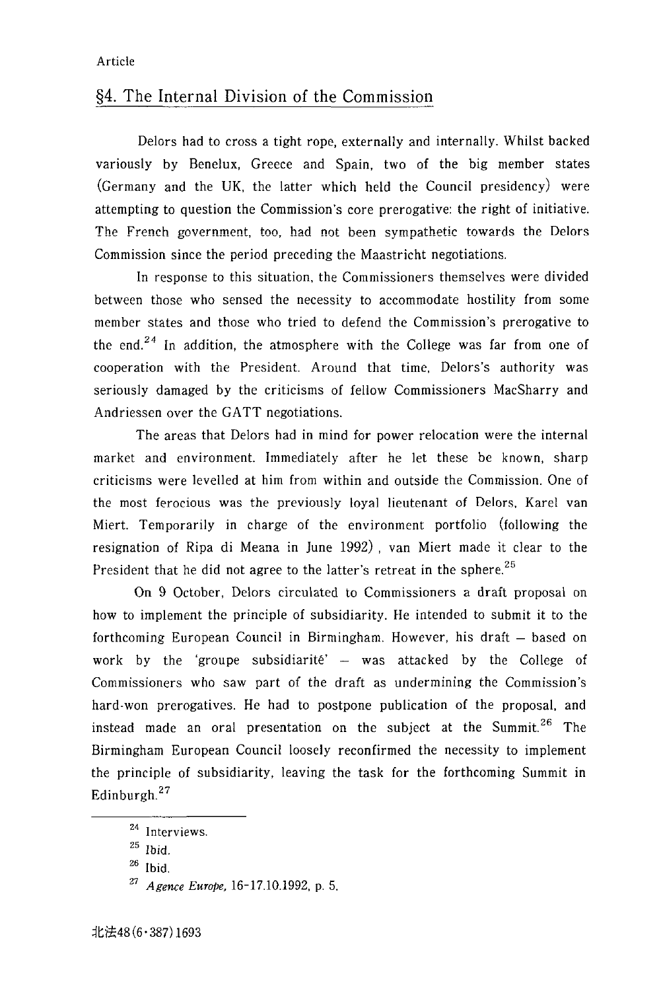### §4. The Internal Division of the Commission

Delors had to cross a tight rope, externally and internally. Whilst backed variously by Benelux, Greece and Spain, two of the big member states (Germany and the UK, the latter which held the Council presidency) were attempting to question the Commission's core prerogative: the right of initiative. The French government, too, had not been sympathetic towards the Delors Commission since the period preceding the Maastricht negotiations.

In response to this situation, the Commissioners themselves were divided between those who sensed the necessity to accommodate hostility from some member states and those who tried to defend the Commission's prerogative to the end.<sup>24</sup> In addition, the atmosphere with the College was far from one of cooperation with the President. Around that time, Delors's authority was seriously damaged by the criticisms of fellow Commissioners MacSharry and Andriessen over the GATT negotiations.

The areas that Delors had in mind for power relocation were the internal market and environment. Immediately after he let these be known, sharp criticisms were levelled at him from within and outside the Commission. One of the most ferocious was the previously loyal lieutenant of Delors. Karel van Miert. Temporarily in charge of the environment portfolio (following the resignation of Ripa di Meana in June 1992) , van Miert made it clear to the President that he did not agree to the latter's retreat in the sphere.<sup>25</sup>

On 9 October, Delors circulated to Commissioners a draft proposal on how to implement the principle of subsidiarity. He intended to submit it to the forthcoming European Council in Birmingham. However, his draft - based on work by the 'groupe subsidiarité'  $-$  was attacked by the College of Commissioners who saw part of the draft as undermining the Commission's hard·won prerogatives. He had to postpone publication of the proposal, and instead made an oral presentation on the subject at the Summit.<sup>26</sup> The Birmingham European Council loosely reconfirmed the necessity to implement the principle of subsidiarity, leaving the task for the forthcoming Summit in Edinburgh.<sup>27</sup>

<sup>24</sup> Interviews.

 $^{25}$  Ibid.

 $26$  Ibid.

*<sup>27</sup> Agence Europe.* 16-17.10.1992, p. 5.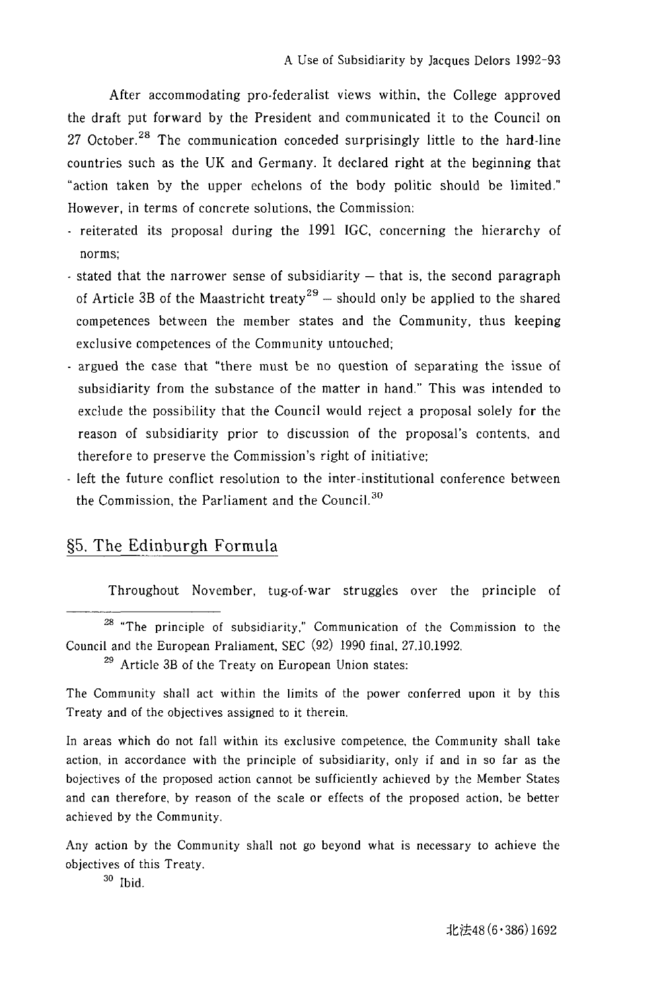After accommodating pro-federalist views within, the College approved the draft put forward by the President and communicated it to the Council on 27 October.<sup>28</sup> The communication conceded surprisingly little to the hard-line countries such as the UK and Germany. It declared right at the beginning that "action taken by the upper echelons of the body politic should be limited." However, in terms of concrete solutions, the Commission:

- reiterated its proposal during the 1991 IGC, concerning the hierarchy of norms;
- $-$  stated that the narrower sense of subsidiarity  $-$  that is, the second paragraph of Article 3B of the Maastricht treaty<sup>29</sup> - should only be applied to the shared competences between the member states and the Community, thus keeping exclusive competences of the Community untouched;
- argued the case that "there must be no question of separating the issue of subsidiarity from the substance of the matter in hand." This was intended to exclude the possibility that the Council would reject a proposal solely for the reason of subsidiarity prior to discussion of the proposal's contents, and therefore to preserve the Commission's right of initiative;
- left the future conflict resolution to the inter-institutional conference between the Commission, the Parliament and the Council.<sup>30</sup>

### §5. The Edinburgh Formula

Throughout November, tug-of-war struggles over the principle of

<sup>28</sup> "The principle of subsidiarity," Communication of the Commission to the Council and the European Praliament, SEC (92) 1990 final, 27.l0.l992.

29 Article 3B of the Treaty on European Union states:

The Community shall act within the limits of the power conferred upon it by this Treaty and of the objectives assigned to it therein.

In areas which do not fall within its exclusive competence, the Community shall take action, in accordance with the principle of subsidiarity, only if and in so far as the bojectives of the proposed action cannot be sufficiently achieved by the Member States and can therefore, by reason of the scale or effects of the proposed action, be better achieved by the Community.

Any action by the Community shall not go beyond what is necessary to achieve the objectives of this Treaty.

30 Ibid.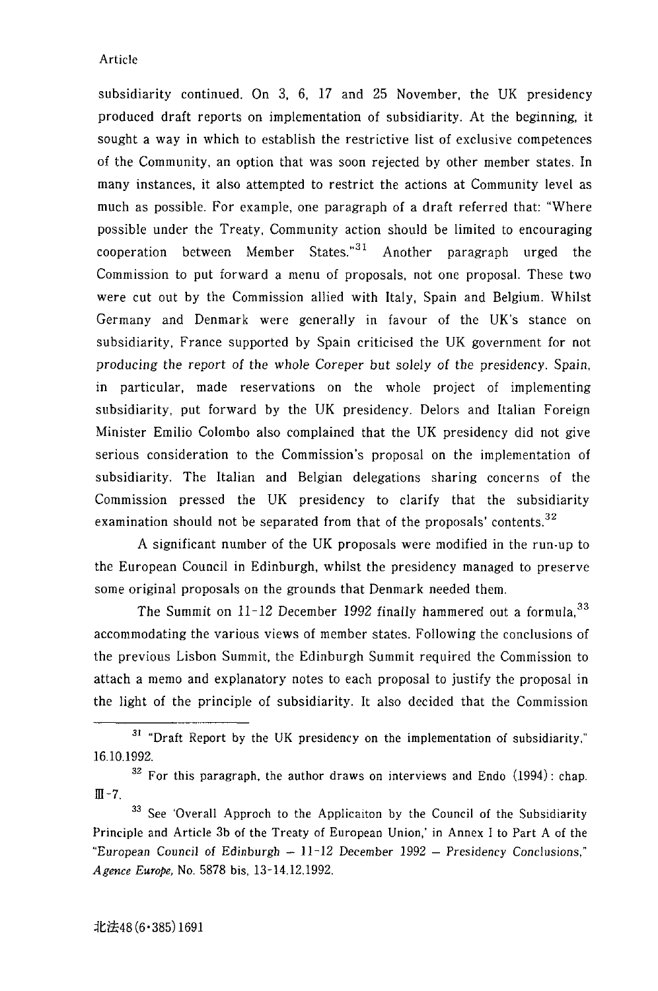subsidiarity continued. On 3, 6, 17 and 25 November, the UK presidency produced draft reports on implementation of subsidiarity. At the beginning, it sought a way in which to establish the restrictive list of exclusive competences of the Community, an option that was soon rejected by other member states. In many instances, it also attempted to restrict the actions at Community level as much as possible. For example, one paragraph of a draft referred that: "Where possible under the Treaty, Community action should be limited to encouraging cooperation between Member States. $31$  Another paragraph urged the Commission to put forward a menu of proposals, not one proposal. These two were cut out by the Commission allied with Italy, Spain and Belgium. Whilst Germany and Denmark were generally in favour of the UK's stance on subsidiarity, France supported by Spain criticised the UK government for not producing the report of the whole Coreper but solely of the presidency. Spain, in particular, made reservations on the whole project of implementing subsidiarity, put forward by the UK presidency. Delors and Italian Foreign Minister Emilio Colombo also complained that the UK presidency did not give serious consideration to the Commission's proposal on the implementation of subsidiarity. The Italian and Belgian delegations sharing concerns of the Commission pressed the UK presidency to clarify that the subsidiarity examination should not be separated from that of the proposals' contents.<sup>32</sup>

A significant number of the UK proposals were modified in the run-up to the European Council in Edinburgh, whilst the presidency managed to preserve some original proposals on the grounds that Denmark needed them.

The Summit on 11-12 December 1992 finally hammered out a formula.<sup>33</sup> accommodating the various views of member states. Following the conclusions of the previous Lisbon Summit, the Edinburgh Summit required the Commission to attach a memo and explanatory notes to each proposal to justify the proposal in the light of the principle of subsidiarity. It also decided that the Commission

<sup>31 &</sup>quot;Draft Report by the UK presidency on the implementation of subsidiarity," 16.10.1992.

 $32$  For this paragraph, the author draws on interviews and Endo (1994): chap.  $II - 7$ .

<sup>&</sup>lt;sup>33</sup> See 'Overall Approch to the Applicaiton by the Council of the Subsidiarity Principle and Article 3b of the Treaty of European Union,' in Annex I to Part A of the "European Council of Edinburgh  $-11$ -12 December 1992 - Presidency Conclusions," *Agence Europe,* No. 5878 bis, 13-14.12.1992.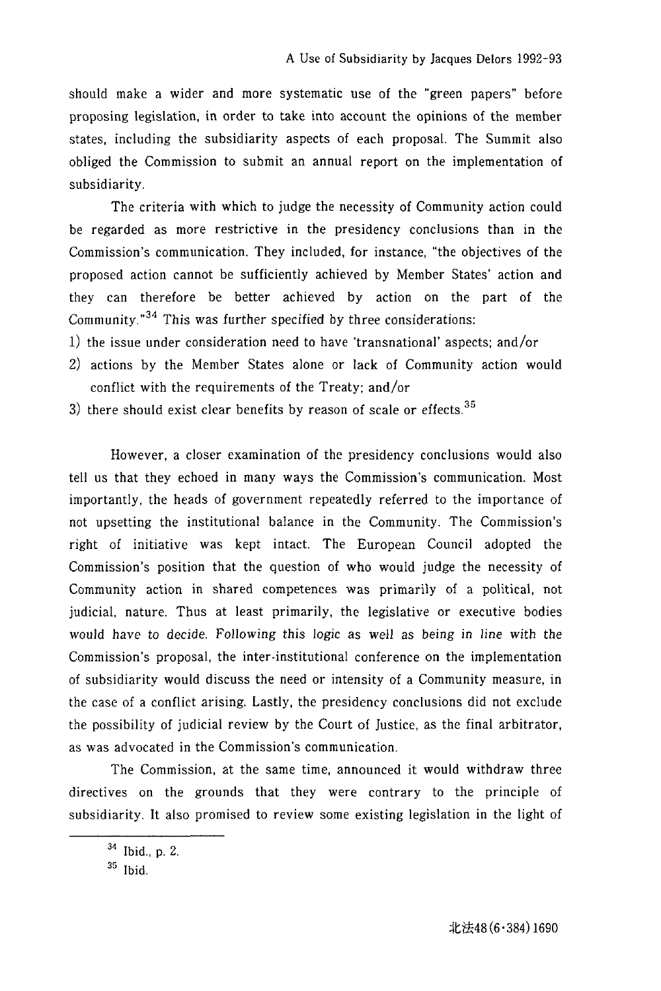should make a wider and more systematic use of the "green papers" before proposing legislation, in order to take into account the opinions of the member states, including the subsidiarity aspects of each proposal. The Summit also obliged the Commission to submit an annual report on the implementation of subsidiarity.

The criteria with which to judge the necessity of Community action could be regarded as more restrictive in the presidency conclusions than in the Commission's communication. They included, for instance, "the objectives of the proposed action cannot be sufficiently achieved by Member States' action and they can therefore be better achieved by action on the part of the Community. $n^{34}$  This was further specified by three considerations:

- 1) the issue under consideration need to have 'transnational' aspects; and/or
- 2) actions by the Member States alone or lack of Community action would conflict with the requirements of the Treaty; and/or
- 3) there should exist clear benefits by reason of scale or effects. $35$

However, a closer examination of the presidency conclusions would also tell us that they echoed in many ways the Commission's communication. Most importantly, the heads of government repeatedly referred to the importance of not upsetting the institutional balance in the Community. The Commission's right of initiative was kept intact. The European Council adopted the Commission's position that the question of who would judge the necessity of Community action in shared competences was primarily of a political, not judicial, nature. Thus at least primarily, the legislative or executive bodies would have to decide. Following this logic as well as being in line with the Commission's proposal, the inter-institutional conference on the implementation of subsidiarity would discuss the need or intensity of a Community measure, in the case of a conflict arising. Lastly, the presidency conclusions did not exclude the possibility of judicial review by the Court of Justice, as the final arbitrator, as was advocated in the Commission's communication.

The Commission, at the same time, announced it would withdraw three directives on the grounds that they were contrary to the principle of subsidiarity. It also promised to review some existing legislation in the light of

<sup>34</sup> Ibid., p. 2.

<sup>35</sup> Ibid.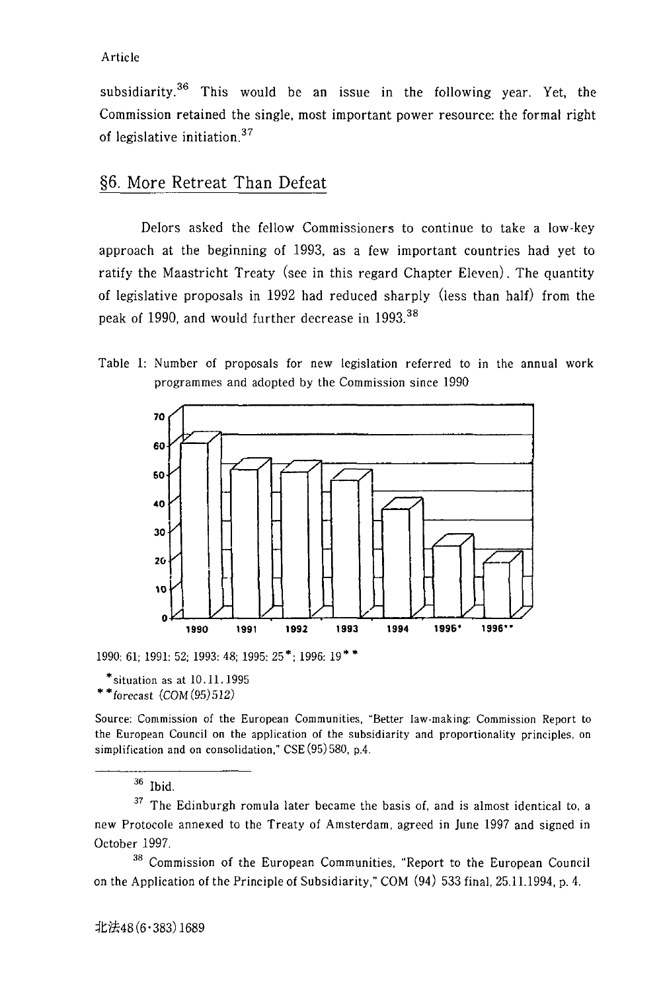subsidiarity.<sup>36</sup> This would be an issue in the following year. Yet, the Commission retained the single, most important power resource: the formal right of legislative initiation. <sup>37</sup>

### §6. More Retreat Than Defeat

Delors asked the fellow Commissioners to continue to take a low-key approach at the beginning of 1993, as a few important countries had yet to ratify the Maastricht Treaty (see in this regard Chapter Eleven). The quantity of legislative proposals in 1992 had reduced sharply (less than half) from the peak of 1990, and would further decrease in 1993.<sup>38</sup>

Table 1: Number of proposals for new legislation referred to in the annual work programmes and adopted by the Commission since 1990



1990: 61; 1991: 52; 1993: 48; 1995: 25\*; 1996: 19\* \*

 $*$  situation as at  $10.11.1995$ 

 $* *$ forecast  $(COM(95)512)$ 

Source: Commission of the European Communities, "Better law-making: Commission Report to the European Council on the application of the subsidiarity and proportionality principles, on simplification and on consolidation," CSE (95) 580, p.4.

36 Ibid.

 $37$  The Edinburgh romula later became the basis of, and is almost identical to, a new Protocole annexed to the Treaty of Amsterdam, agreed in June 1997 and signed in October 1997.

38 Commission of the European Communities, "Report to the European Council on the Application of the Principle of Subsidiarity," COM (94) 533 final, 25.11.1994, p. 4.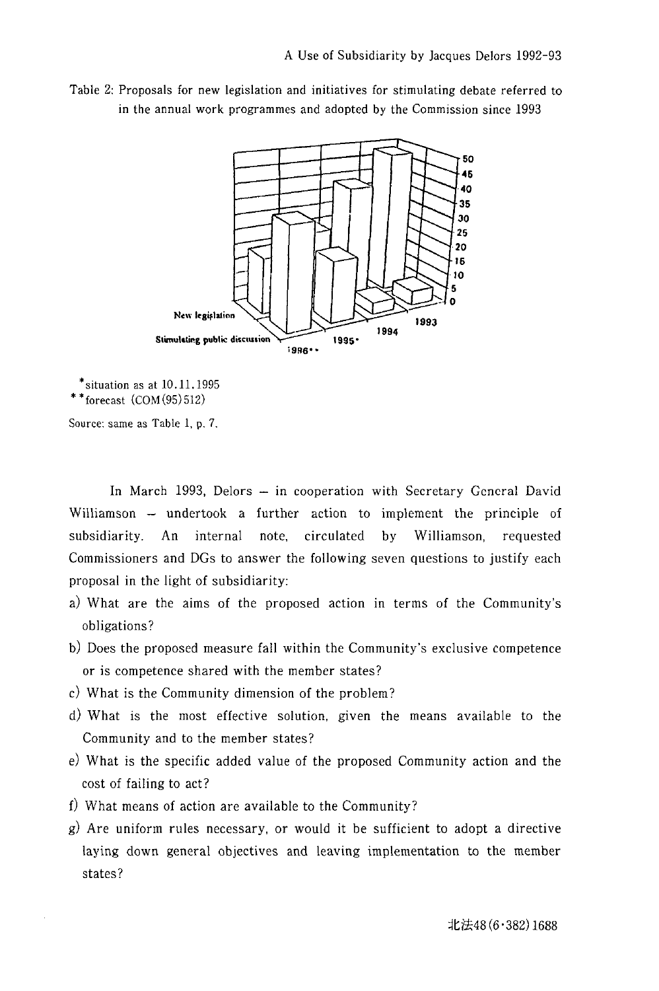Table 2: Proposals for new legislation and initiatives for stimulating debate referred to in the annual work programmes and adopted by the Commission since 1993



 $*$ situation as at  $10.11.1995$  $**$  forecast  $(COM(95)512)$ 

Source: same as Table 1, p. 7.

In March 1993, Delors - in cooperation with Secretary General David Williamson - undertook a further action to implement the principle of subsidiarity. An internal note, circulated by Williamson, requested Commissioners and DGs to answer the following seven questions to justify each proposal in the light of subsidiarity:

- a) What are the aims of the proposed action in terms of the Community's obligations?
- b) Does the proposed measure fall within the Community's exclusive competence or is competence shared with the member states?
- c) What is the Community dimension of the problem?
- d) What is the most effective solution, given the means available to the Community and to the member states?
- e) What is the specific added value of the proposed Community action and the cost of failing to act?
- f) What means of action are available to the Community?
- $g$ ) Are uniform rules necessary, or would it be sufficient to adopt a directive laying down general objectives and leaving implementation to the member states?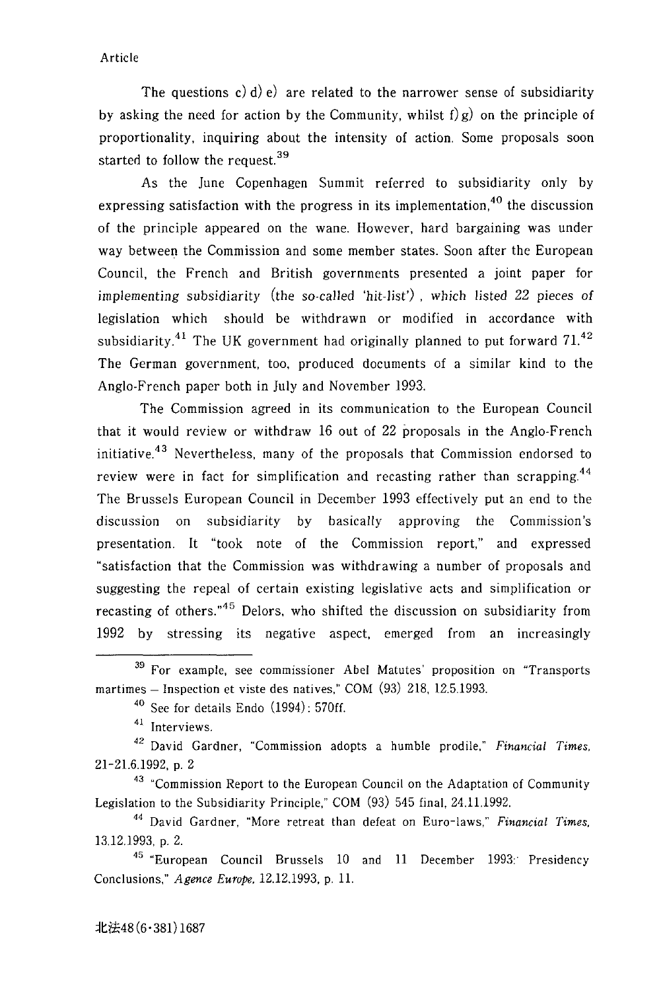The questions c) d) e) are related to the narrower sense of subsidiarity by asking the need for action by the Community, whilst  $f(g)$  on the principle of proportionality. inquiring about the intensity of action. Some proposals soon started to follow the request. 39

As the June Copenhagen Summit referred to subsidiarity only by expressing satisfaction with the progress in its implementation.<sup>40</sup> the discussion of the principle appeared on the wane. However. hard bargaining was under way between the Commission and some member states. Soon after the European Council. the French and British governments presented a joint paper for implementing subsidiarity (the so-called 'hit-list') . which listed 22 pieces of legislation which should be withdrawn or modified in accordance with subsidiarity.<sup>41</sup> The UK government had originally planned to put forward  $71^{42}$ The German government. too, produced documents of a similar kind to the Anglo-French paper both in July and November 1993.

The Commission agreed in its communication to the European Council that it would review or withdraw 16 out of 22 proposals in the Anglo-French initiative.<sup>43</sup> Nevertheless, many of the proposals that Commission endorsed to review were in fact for simplification and recasting rather than scrapping.<sup>44</sup> The Brussels European Council in December 1993 effectively put an end to the discussion on subsidiarity by basically approving the Commission's presentation. It "took note of the Commission report." and expressed "satisfaction that the Commission was withdrawing a number of proposals and suggesting the repeal of certain existing legislative acts and simplification or recasting of others."<sup>45</sup> Delors, who shifted the discussion on subsidiarity from 1992 by stressing its negative aspect, emerged from an increasingly

<sup>43</sup> "Commission Report to the European Council on the Adaptation of Community Legislation to the Subsidiarity Principle," COM (93) 545 final. 24.11.1992.

45 "European Council Brussels 10 and 11 December 1993:' Presidency Conclusions." *Agence Europe,* 12.12.1993. p. 11.

<sup>&</sup>lt;sup>39</sup> For example, see commissioner Abel Matutes' proposition on "Transports martimes - Inspection et viste des natives," COM (93) 218, 12.5.1993.

<sup>40</sup> See for details Endo (1994): 570ff.

<sup>41</sup> Interviews.

<sup>42</sup> David Gardner. "Commission adopts a humble prodile." *Financial Times,*  21-21.6.1992, p. 2

<sup>44</sup> David Gardner. "More retreat than defeat on Euro-laws," *Financial Times,*  13.12.1993. p. 2.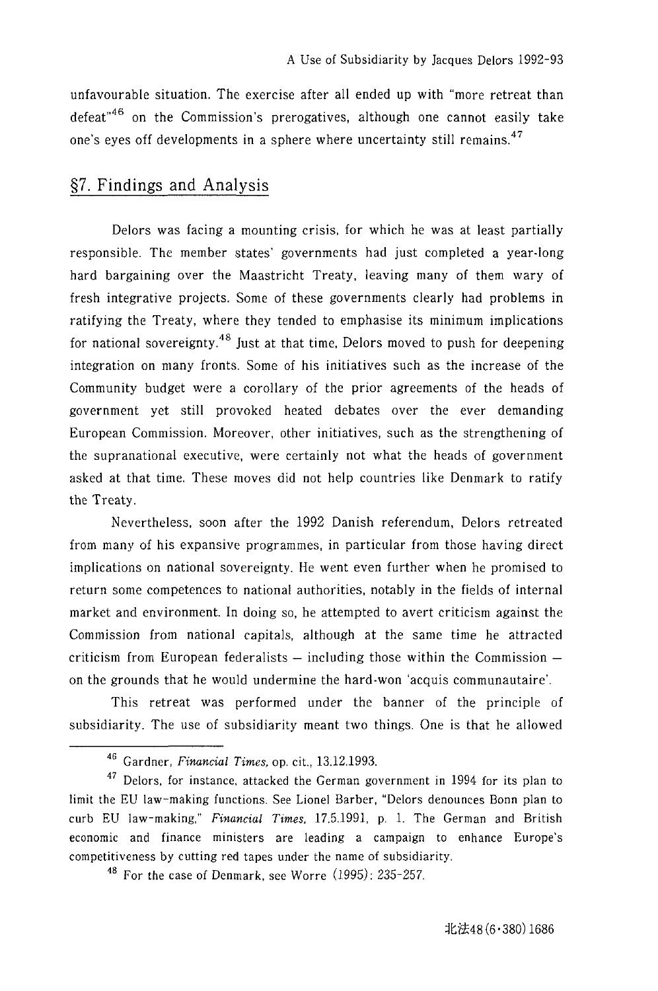unfavourable situation. The exercise after all ended up with "more retreat than defeat<sup> $46$ </sup> on the Commission's prerogatives, although one cannot easily take one's eyes off developments in a sphere where uncertainty still remains.<sup>47</sup>

## §7. Findings and Analysis

Delors was facing a mounting crisis, for which he was at least partially responsible. The member states' governments had just completed a year-long hard bargaining over the Maastricht Treaty, leaving many of them wary of fresh integrative projects. Some of these governments clearly had problems in ratifying the Treaty, where they tended to emphasise its minimum implications for national sovereignty.<sup>48</sup> Just at that time, Delors moved to push for deepening integration on many fronts. Some of his initiatives such as the increase of the Comm unity budget were a corollary of the prior agreements of the heads of government yet still provoked heated debates over the ever demanding European Commission. Moreover, other initiatives, such as the strengthening of the supranational executive, were certainly not what the heads of government asked at that time. These moves did not help countries like Denmark to ratify the Treaty.

Nevertheless, soon after the 1992 Danish referendum, Oelors retreated from many of his expansive programmes, in particular from those having direct implications on national sovereignty. He went even further when he promised to return some competences to national authorities, notably in the fields of internal market and environment. In doing so, he attempted to avert criticism against the Commission from national capitals, although at the same time he attracted criticism from European federalists  $-$  including those within the Commission  $$ on the grounds that he would undermine the hard-won 'acquis communautaire'.

This retreat was performed under the banner of the principle of subsidiarity. The use of subsidiarity meant two things. One is that he allowed

<sup>&</sup>lt;sup>46</sup> Gardner, *Financial Times*, op. cit., 13.12.1993.

 $47$  Delors, for instance, attacked the German government in 1994 for its plan to limit the EU law-making functions. See Lionel Barber, "Delors denounces Bonn plan to curb EU law-making," *Financial Times,* 17.5.1991, p. 1. The German and British economic and finance ministers are leading a campaign to enhance Europe's competitiveness by cutting red tapes under the name of subsidiarity.

 $48$  For the case of Denmark, see Worre (1995): 235-257.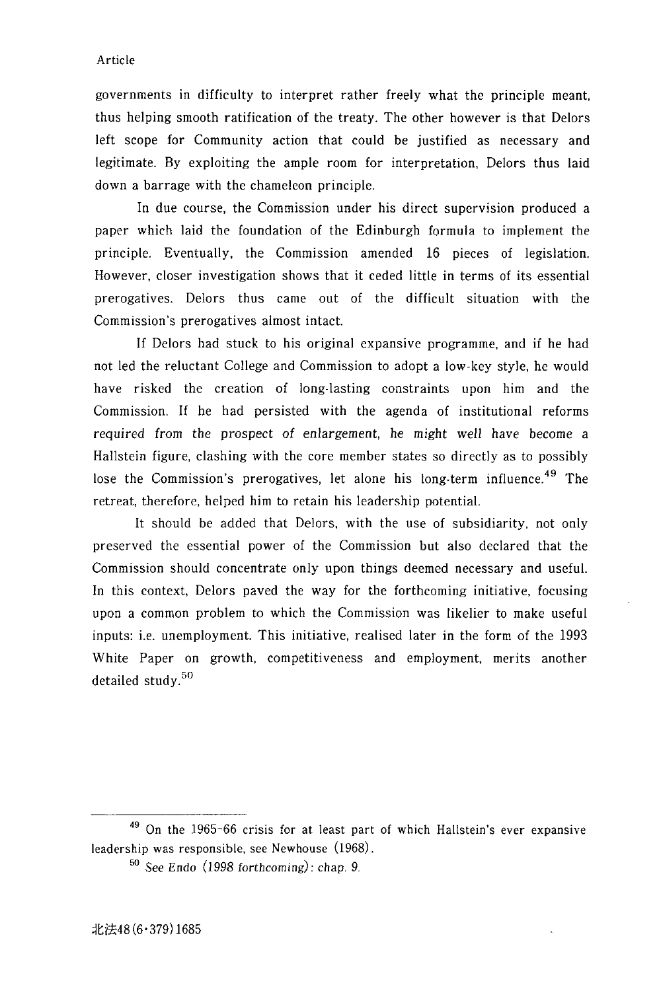governments in difficulty to interpret rather freely what the principle meant, thus helping smooth ratification of the treaty. The other however is that Oelors left scope for Community action that could be justified as necessary and legitimate. By exploiting the ample room for interpretation, Oelors thus laid down a barrage with the chameleon principle.

In due course, the Commission under his direct supervision produced a paper which laid the foundation of the Edinburgh formula to implement the principle. Eventually, the Commission amended 16 pieces of legislation. However, closer investigation shows that it ceded little in terms of its essential prerogatives. Oelors thus came out of the difficult situation with the Commission's prerogatives almost intact.

If Oelors had stuck to his original expansive programme, and if he had not led the reluctant College and Commission to adopt a low·key style, he would have risked the creation of long-lasting constraints upon him and the Commission. If he had persisted with the agenda of institutional reforms required from the prospect of enlargement, he might well have become a Hallstein figure, clashing with the core member states so directly as to possibly lose the Commission's prerogatives, let alone his long-term influence.<sup>49</sup> The retreat, therefore, helped him to retain his leadership potential.

It should be added that Oelors, with the use of subsidiarity, not only preserved the essential power of the Commission but also declared that the Commission should concentrate only upon things deemed necessary and useful. In this context, Oelors paved the way for the forthcoming initiative, focusing upon a common problem to which the Commission was likelier to make useful inputs: i.e. unemployment. This initiative, realised later in the form of the 1993 White Paper on growth, competitiveness and employment, merits another detailed study.<sup>50</sup>

<sup>&</sup>lt;sup>49</sup> On the 1965-66 crisis for at least part of which Hallstein's ever expansive leadership was responsible, see Newhouse (1968).

<sup>50</sup> See Endo (1998 forthcoming): chap. 9.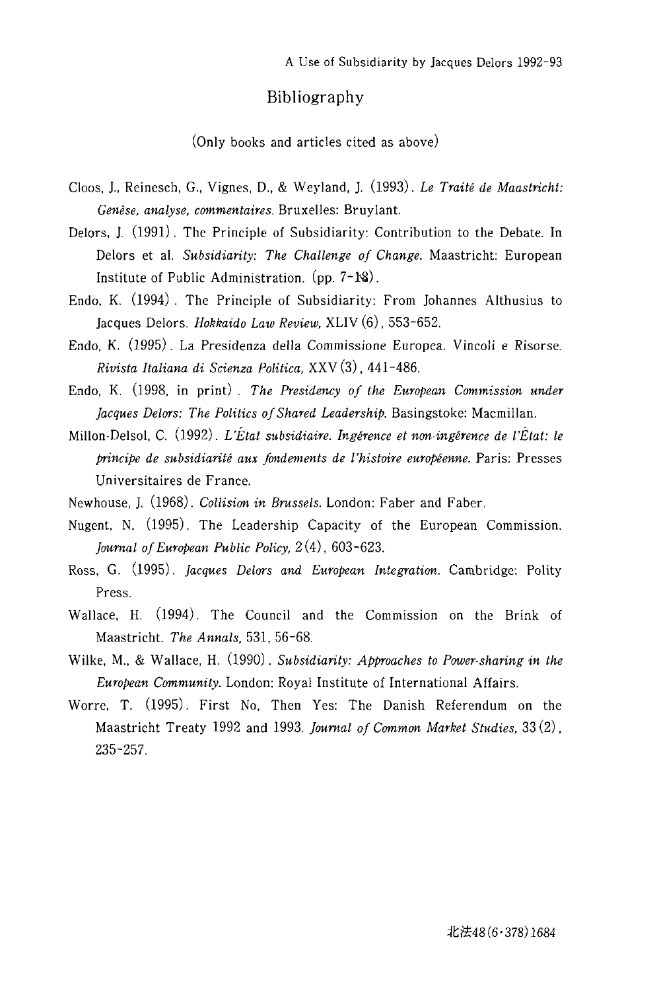### **Bibliography**

(Only books and articles cited as above)

- Cloos, J.. Reinesch, G., Vignes, D., & Weyland, J. (1993). *Le Traite de Maastricht: Genese, analyse, commentaires.* Bruxelles: Bruylant.
- Delors, 1. (1991). The Principle of Subsidiarity: Contribution to the Debate. **In**  Delors et al. *Subsidiarity: The Challenge of Change.* Maastricht: European Institute of Public Administration.  $(pp. 7-1)$ .
- Endo, K. (1994). The Principle of Subsidiarity: From Johannes Althusius to Jacques Delors. *Hokkaido Law Review*, XLIV (6), 553-652.
- Endo, K. (1995). La Presidenza della Commissione Europea. Vincoli e Risorse. *Rivista Italiana di Scienza Politica,* XXV (3), 441-486.
- Endo, K. (1998, in print). *The Presidency of the European Commission under Jacques Delors: The Politics of Shared Leadership.* Basingstoke: Macmillan.
- Millon·Delsol, C. (1992). *CEtat subsidiaire. Ingerence et non· ingerence de I'Etat: Ie principe de subsidiarite aux fondements de l'histoire europeenne.* Paris: Presses Universitaires de France.
- Newhouse, J. (1968). *Collision in Brussels.* London: Faber and Faber.
- Nugent, N. (1995). The Leadership Capacity of the European Commission. *journal of European Public Policy,* 2 (4), 603-623.
- Ross, G. (1995). *jacques Delors and European Integration.* Cambridge: Polity Press.
- Wallace, H. (1994). The Council and the Commission on the Brink of Maastricht. *The Annals,* 531, 56-68.
- Wilke, M., & Wallace, H. (1990). *Subsidiarity: Approaches to Power· sharing in the European Community.* London: Royal Institute of International Affairs.
- Worre, T. (1995). First No, Then Yes: The Danish Referendum on the Maastricht Treaty 1992 and 1993. *journal of Common Market Studies,* 33 (2) , 235-257.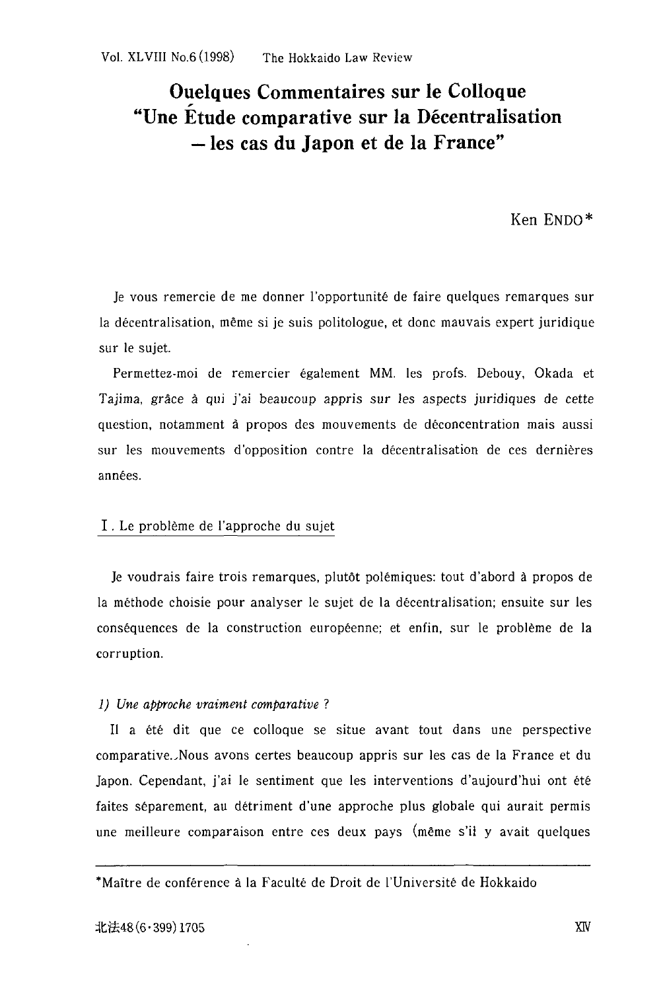# **Ouelques Commentaires sur Ie Colloque "Une Etude comparative sur la Decentralisation -les cas du Japon et de la France"**

Ken ENDO\*

Je vous remercie de me donner l'opportunite de faire quelques remarques sur la decentralisation, meme si je suis politologue, et done mauvais expert juridique sur Ie sujet.

Permettez-moi de remercier également MM. les profs. Debouy, Okada et Tajima, grace a qui j'ai beaucoup appris sur les aspects juridiques de cette question, notamment a propos des mouvements de deconcentration mais aussi sur les mouvements d'opposition contre la décentralisation de ces dernières années.

### I. Le probleme de l'approche du sujet

Je voudrais faire trois remarques, plut6t polemiques: tout d'abord a propos de la méthode choisie pour analyser le sujet de la décentralisation; ensuite sur les consequences de la construction europeenne; et enfin, sur Ie probleme de la corruption.

#### *1) Une approche vraiment comparative?*

Il a été dit que ce colloque se situe avant tout dans une perspective comparative.JNous avons certes beaucoup appris sur les cas de la France et du Japon. Cependant, j'ai Ie sentiment que les interventions d'aujourd'hui ont ete faites séparement, au détriment d'une approche plus globale qui aurait permis une meilleure comparaison entre ces deux pays (meme s'il y avait quelques

-Maitre de conference a la Faculte de Droit de l'Universite de Hokkaido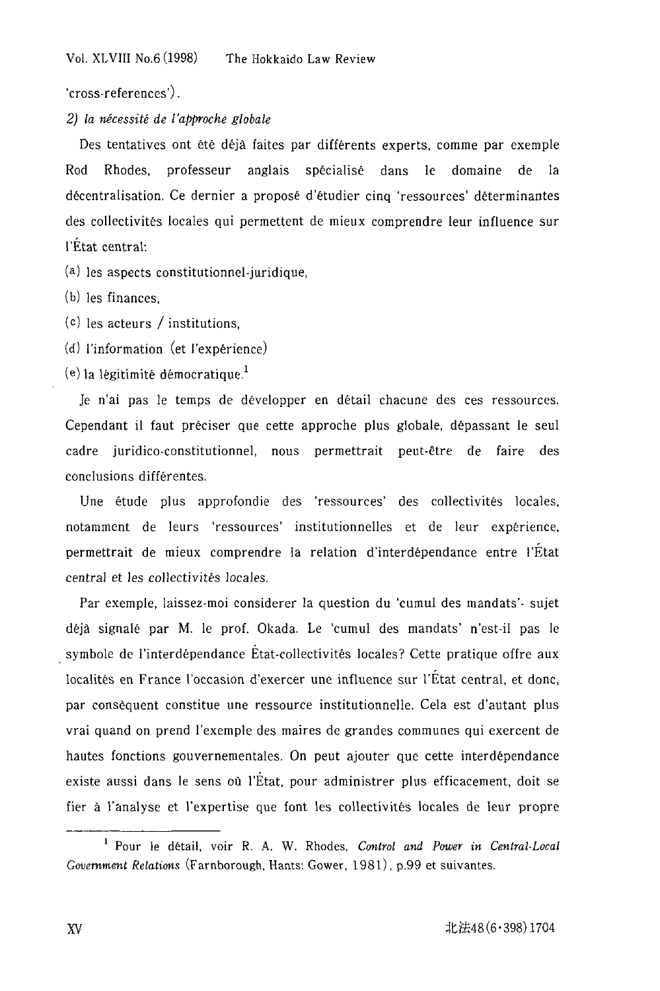'cross-references') .

### 2) la *necessite* de {'approche globale

Des tentatives ont été déjà faites par différents experts, comme par exemple Rod Rhodes, professeur anglais specialise dans Ie domaine de la decentralisation. Ce dernier a propose d'etudier cinq 'ressources' determinantes des collectivites locales qui permettent de mieux comprendre leur influence sur I'£tat central:

(a) les aspects constitutionnel-juridique,

(b) les finances,

- (c) les acteurs / institutions,
- (d) I'information (et l'experience)

 $(e)$  la légitimité démocratique.<sup>1</sup>

Je n'ai pas le temps de développer en détail chacune des ces ressources. Cependant il faut preciser que cette approche plus globale, depassant Ie seul cadre juridico-constitutionnel, nous permettrait peut-etre de faire des conclusions differentes.

Une étude plus approfondie des 'ressources' des collectivités locales, notamment de leurs 'ressources' institutionnelles et de leur experience, permettrait de mieux comprendre la relation d'interdependance entre l'Etat central et les collectivites locales.

Par exemple, laissez-moi considerer la question du 'cumul des mandats'- sujet deja signale par M. Ie prof. Okada. Le 'cumul des mandats' n'est-il pas Ie . symbole de l'interdependance Etat-collectivites locales? Cette pratique ofire aux localités en France l'occasion d'exercer une influence sur l'Etat central, et donc, par consèquent constitue une ressource institutionnelle. Cela est d'autant plus vrai quand on prend l'exemple des maires de grandes communes qui exercent de hautes fonctions gouvernementales. On peut ajouter que cette interdependance existe aussi dans le sens où l'État, pour administrer plus efficacement, doit se fier a J'analyse et J'expertise que font les collectivites locales de leur propre

<sup>1</sup> Pour Ie detail, voir R. A. W. Rhodes, *Control and Power in Central-Local Government Relations* (Farnborough, Hants: Gower, 1981), p.99 et suivantes.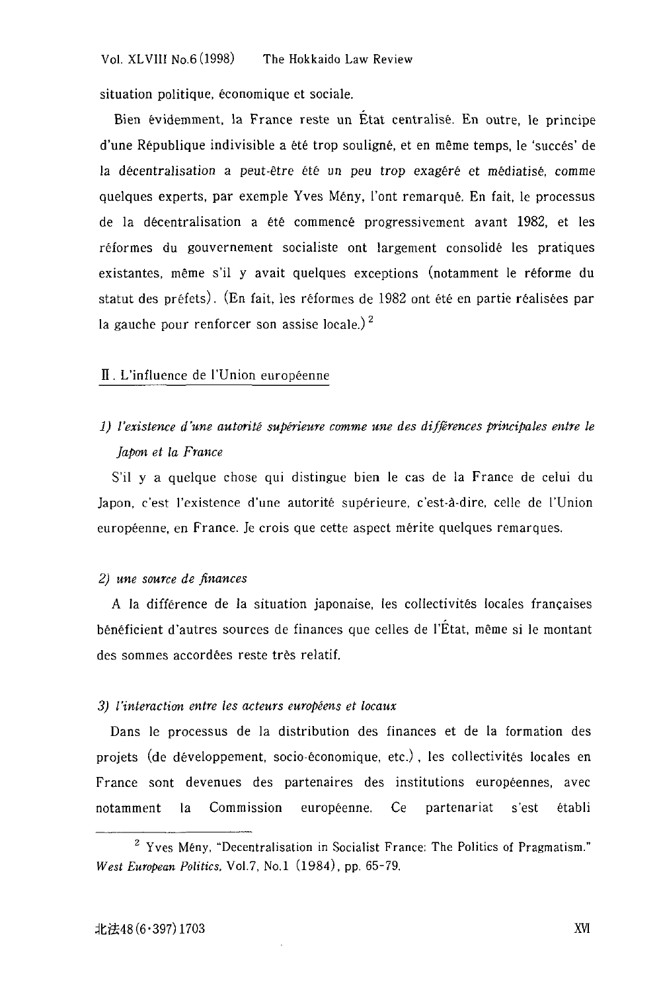situation politique, économique et sociale.

Bien evidemment, la France reste un Etat centralise. En outre, Ie principe d'une Republique indivisible a ete trop souligne, et en meme temps, Ie 'succes' de la décentralisation a peut-être été un peu trop exagéré et médiatisé, comme quelques experts, par exemple Yves Meny, l'ont remarque. En fait, Ie processus de la décentralisation a été commencé progressivement avant 1982, et les r€formes du gouvernement socialiste ont largement consolide les pratiques existantes, même s'il y avait quelques exceptions (notamment le réforme du statut des préfets). (En fait, les réformes de 1982 ont été en partie réalisées par la gauche pour renforcer son assise locale.)<sup>2</sup>

#### II. L'influence de I'Union europeenne

## 1) l'existence d'une autorité supérieure comme une des différences principales entre le *Japan et* la *France*

S'il y a quelque chose qui distingue bien Ie cas de la France de celui du Japon, c'est l'existence d'une autorité supérieure, c'est-à-dire, celle de l'Union européenne, en France. Je crois que cette aspect mérite quelques remarques.

#### *2) une source de finances*

A la difference de la situation japonaise, les collectivites locales francaises beneficient d'autres sources de finances que celles de I'Etat, meme si Ie montant des sommes accordées reste très relatif.

#### *3) ['interaction entre les acteurs europeens et locaux*

Dans Ie processus de la distribution des finances et de la formation des projets (de developpement, socio-economique, etc.) , les collectivites locales en France sont devenues des partenaires des institutions européennes, avec notamment la Commission europeenne. Ce partenariat s'est etabli

<sup>2</sup> Yves Meny, "Decentralisation in Socialist France: The Politics of Pragmatism." *West European Politics,* VoI.7, No.1 (1984), pp. 65-79.